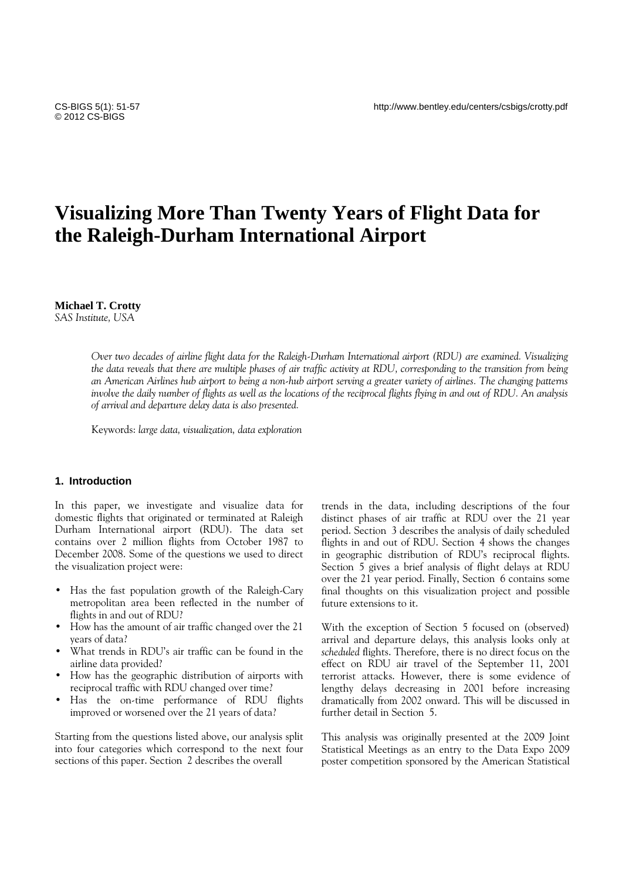# **Visualizing More Than Twenty Years of Flight Data for the Raleigh-Durham International Airport**

## **Michael T. Crotty**

*SAS Institute, USA* 

*Over two decades of airline flight data for the Raleigh-Durham International airport (RDU) are examined. Visualizing the data reveals that there are multiple phases of air traffic activity at RDU, corresponding to the transition from being an American Airlines hub airport to being a non-hub airport serving a greater variety of airlines. The changing patterns involve the daily number of flights as well as the locations of the reciprocal flights flying in and out of RDU. An analysis of arrival and departure delay data is also presented.* 

Keywords: *large data, visualization, data exploration* 

## **1. Introduction**

In this paper, we investigate and visualize data for domestic flights that originated or terminated at Raleigh Durham International airport (RDU). The data set contains over 2 million flights from October 1987 to December 2008. Some of the questions we used to direct the visualization project were:

- Has the fast population growth of the Raleigh-Cary metropolitan area been reflected in the number of flights in and out of RDU?
- How has the amount of air traffic changed over the 21 years of data?
- What trends in RDU's air traffic can be found in the airline data provided?
- How has the geographic distribution of airports with reciprocal traffic with RDU changed over time?
- Has the on-time performance of RDU flights improved or worsened over the 21 years of data?

Starting from the questions listed above, our analysis split into four categories which correspond to the next four sections of this paper. Section 2 describes the overall

trends in the data, including descriptions of the four distinct phases of air traffic at RDU over the 21 year period. Section 3 describes the analysis of daily scheduled flights in and out of RDU. Section 4 shows the changes in geographic distribution of RDU's reciprocal flights. Section 5 gives a brief analysis of flight delays at RDU over the 21 year period. Finally, Section 6 contains some final thoughts on this visualization project and possible future extensions to it.

With the exception of Section 5 focused on (observed) arrival and departure delays, this analysis looks only at *scheduled* flights. Therefore, there is no direct focus on the effect on RDU air travel of the September 11, 2001 terrorist attacks. However, there is some evidence of lengthy delays decreasing in 2001 before increasing dramatically from 2002 onward. This will be discussed in further detail in Section 5.

This analysis was originally presented at the 2009 Joint Statistical Meetings as an entry to the Data Expo 2009 poster competition sponsored by the American Statistical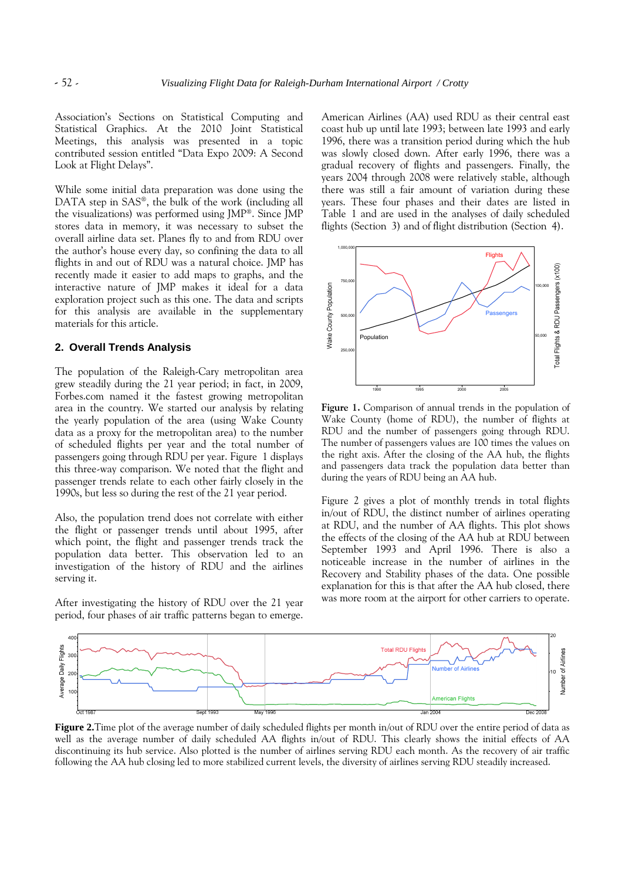Association's Sections on Statistical Computing and Statistical Graphics. At the 2010 Joint Statistical Meetings, this analysis was presented in a topic contributed session entitled "Data Expo 2009: A Second Look at Flight Delays".

While some initial data preparation was done using the DATA step in SAS®, the bulk of the work (including all the visualizations) was performed using JMP®. Since JMP stores data in memory, it was necessary to subset the overall airline data set. Planes fly to and from RDU over the author's house every day, so confining the data to all flights in and out of RDU was a natural choice. JMP has recently made it easier to add maps to graphs, and the interactive nature of JMP makes it ideal for a data exploration project such as this one. The data and scripts for this analysis are available in the supplementary materials for this article.

# **2. Overall Trends Analysis**

The population of the Raleigh-Cary metropolitan area grew steadily during the 21 year period; in fact, in 2009, Forbes.com named it the fastest growing metropolitan area in the country. We started our analysis by relating the yearly population of the area (using Wake County data as a proxy for the metropolitan area) to the number of scheduled flights per year and the total number of passengers going through RDU per year. Figure 1 displays this three-way comparison. We noted that the flight and passenger trends relate to each other fairly closely in the 1990s, but less so during the rest of the 21 year period.

Also, the population trend does not correlate with either the flight or passenger trends until about 1995, after which point, the flight and passenger trends track the population data better. This observation led to an investigation of the history of RDU and the airlines serving it.

After investigating the history of RDU over the 21 year period, four phases of air traffic patterns began to emerge. American Airlines (AA) used RDU as their central east coast hub up until late 1993; between late 1993 and early 1996, there was a transition period during which the hub was slowly closed down. After early 1996, there was a gradual recovery of flights and passengers. Finally, the years 2004 through 2008 were relatively stable, although there was still a fair amount of variation during these years. These four phases and their dates are listed in Table 1 and are used in the analyses of daily scheduled flights (Section 3) and of flight distribution (Section 4).



**Figure 1.** Comparison of annual trends in the population of Wake County (home of RDU), the number of flights at RDU and the number of passengers going through RDU. The number of passengers values are 100 times the values on the right axis. After the closing of the AA hub, the flights and passengers data track the population data better than during the years of RDU being an AA hub.

Figure 2 gives a plot of monthly trends in total flights in/out of RDU, the distinct number of airlines operating at RDU, and the number of AA flights. This plot shows the effects of the closing of the AA hub at RDU between September 1993 and April 1996. There is also a noticeable increase in the number of airlines in the Recovery and Stability phases of the data. One possible explanation for this is that after the AA hub closed, there was more room at the airport for other carriers to operate.



**Figure 2.**Time plot of the average number of daily scheduled flights per month in/out of RDU over the entire period of data as well as the average number of daily scheduled AA flights in/out of RDU. This clearly shows the initial effects of AA discontinuing its hub service. Also plotted is the number of airlines serving RDU each month. As the recovery of air traffic following the AA hub closing led to more stabilized current levels, the diversity of airlines serving RDU steadily increased.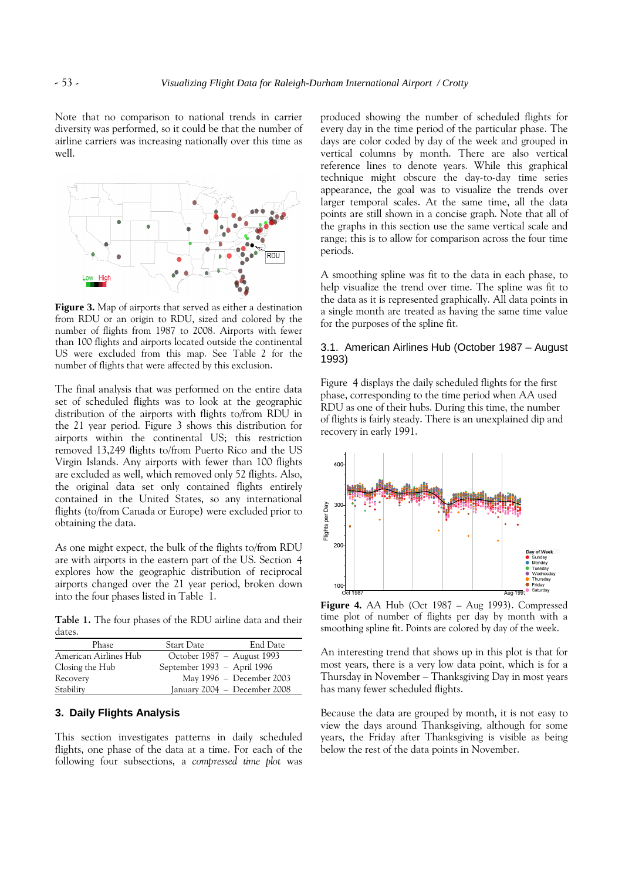Note that no comparison to national trends in carrier diversity was performed, so it could be that the number of airline carriers was increasing nationally over this time as well.



**Figure 3.** Map of airports that served as either a destination from RDU or an origin to RDU, sized and colored by the number of flights from 1987 to 2008. Airports with fewer than 100 flights and airports located outside the continental US were excluded from this map. See Table Table 2 for the number of flights that were affected by this exclusion.

The final analysis that was performed on the entire data set of scheduled flights was to look at the geographic distribution of the airports with flights to/from RDU in the 21 year period. Figure 3 shows this distribution for airports within the continental US; this restriction removed 13,249 flights to/from Puerto Rico and the US Virgin Islands. Any airports with fewer than 100 flights are excluded as well, which removed only 52 flights. Also, the original data set only contained flights entirely contained in the United States, so any international flights (to/from Canada or Europe) were excluded prior to obtaining the data. ts within the continental US; this restriction<br>red 13,249 flights to/from Puerto Rico and the US<br>i Islands. Any airports with fewer than 100 flights<br>cluded as well, which removed only 52 flights. Also,<br>riginal data set onl

As one might expect, the bulk of the flights to/from RDU are with airports in the eastern part of the US. Section explores how the geographic distribution of reciprocal airports changed over the 21 year period, broken down into the four phases listed in Table 1.

**Table 1.** The four phases of the RDU airline data and their dates.

| Phase                 | Start Date                  | End Date                     |
|-----------------------|-----------------------------|------------------------------|
| American Airlines Hub |                             | October 1987 – August 1993   |
| Closing the Hub       | September 1993 – April 1996 |                              |
| Recovery              |                             | May 1996 - December 2003     |
| Stability             |                             | January 2004 – December 2008 |

#### **3. Daily Flights Analysis**

This section investigates patterns in daily scheduled flights, one phase of the data at a time. For each of the following four subsections, a *compressed time plot* was produced showing the number of scheduled flights for every day in the time period of the particular phase. The days are color coded by day of the week and grouped in vertical columns by month. There are also vertical reference lines to denote years. While this graphical produced showing the number of scheduled flights for<br>every day in the time period of the particular phase. The<br>days are color coded by day of the week and grouped in<br>vertical columns by month. There are also vertical<br>refer appearance, the goal was to visualize the trends over larger temporal scales. At the same time, all the data points are still shown in a concise graph. Note that all of the graphs in this section use the same vertical scale and range; this is to allow for comparison across the four time periods. l scales. At the same time, all the data shown in a concise graph. Note that all of his section use the same vertical scale and  $\alpha$  allow for comparison across the four time pline was fit to the data in each phase, to the

A smoothing spline was fit to the data in each phase, to help visualize the trend over time. The spline was fit to the data as it is represented graphically. All data points in a single month are treated as having the same time value for the purposes of the spline fit.

#### 3.1. American Airlines Hub (October 1987 - August 1993)

Figure 4 displays the daily scheduled flights for the first Figure 4 displays the daily scheduled flights for the first<br>phase, corresponding to the time period when AA used RDU as one of their hubs. During this time, the number of flights is fairly steady. There is an unexplained dip and recovery in early 1991.



**Figure 4.** AA Hub (Oct 1987 – Aug 1993). Compressed time plot of number of flights per day by month with a smoothing spline fit. Points are colored by day of the week.

An interesting trend that shows up in this plot is that for most years, there is a very low data point, which is for a Thursday in November – Thanksgiving Day in most years has many fewer scheduled flights. iting trend that shows up in this plot is th<br>i, there is a very low data point, which is<br>in November – Thanksgiving Day in most<br>fewer scheduled flights.<br>ne data are grouped by month, it is not ear<br>days around Thanksgiving,

Because the data are grouped by month, it is not easy to view the days around Thanksgiving, although for some years, the Friday after Thanksgiving is visible as being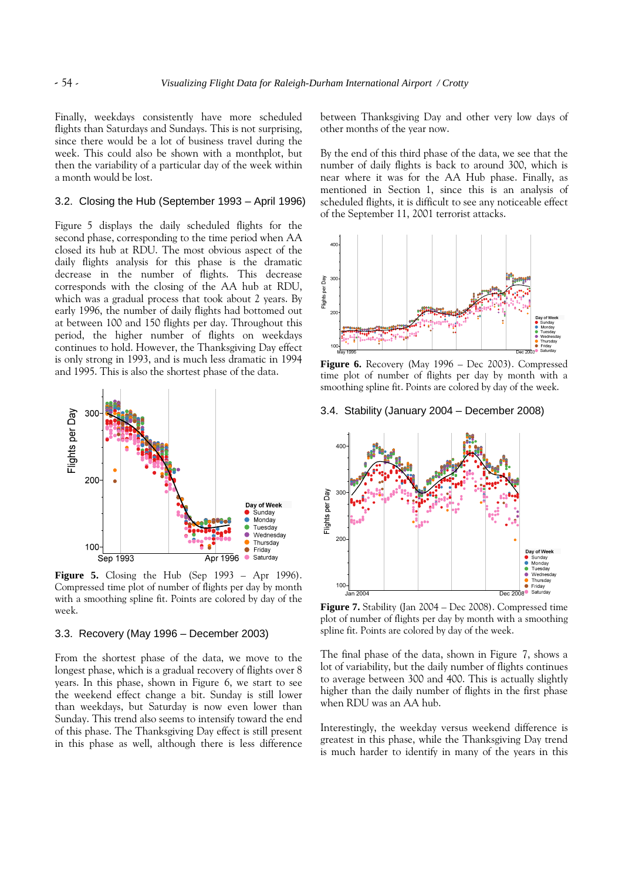Finally, weekdays consistently have more scheduled flights than Saturdays and Sundays. This is not surprising, since there would be a lot of business travel during the week. This could also be shown with a monthplot, but then the variability of a particular day of the week within a month would be lost.

#### 3.2. Closing the Hub (September 1993 – April 1996)

Figure 5 displays the daily scheduled flights for the second phase, corresponding to the time period when AA closed its hub at RDU. The most obvious aspect of the daily flights analysis for this phase is the dramatic decrease in the number of flights. This decrease corresponds with the closing of the AA hub at RDU, which was a gradual process that took about 2 years. By early 1996, the number of daily flights had bottomed out at between 100 and 150 flights per day. Throughout this period, the higher number of flights on weekdays continues to hold. However, the Thanksgiving Day effect is only strong in 1993, and is much less dramatic in 1994 and 1995. This is also the shortest phase of the data.



**Figure 5.** Closing the Hub (Sep 1993 – Apr 1996). Compressed time plot of number of flights per day by month with a smoothing spline fit. Points are colored by day of the week.

#### 3.3. Recovery (May 1996 – December 2003)

From the shortest phase of the data, we move to the longest phase, which is a gradual recovery of flights over 8 years. In this phase, shown in Figure 6, we start to see the weekend effect change a bit. Sunday is still lower than weekdays, but Saturday is now even lower than Sunday. This trend also seems to intensify toward the end of this phase. The Thanksgiving Day effect is still present in this phase as well, although there is less difference between Thanksgiving Day and other very low days of other months of the year now.

By the end of this third phase of the data, we see that the number of daily flights is back to around 300, which is near where it was for the AA Hub phase. Finally, as mentioned in Section 1, since this is an analysis of scheduled flights, it is difficult to see any noticeable effect of the September 11, 2001 terrorist attacks.



**Figure 6.** Recovery (May 1996 – Dec 2003). Compressed time plot of number of flights per day by month with a smoothing spline fit. Points are colored by day of the week.

# 3.4. Stability (January 2004 – December 2008)



**Figure 7.** Stability (Jan 2004 – Dec 2008). Compressed time plot of number of flights per day by month with a smoothing spline fit. Points are colored by day of the week.

The final phase of the data, shown in Figure 7, shows a lot of variability, but the daily number of flights continues to average between 300 and 400. This is actually slightly higher than the daily number of flights in the first phase when RDU was an AA hub.

Interestingly, the weekday versus weekend difference is greatest in this phase, while the Thanksgiving Day trend is much harder to identify in many of the years in this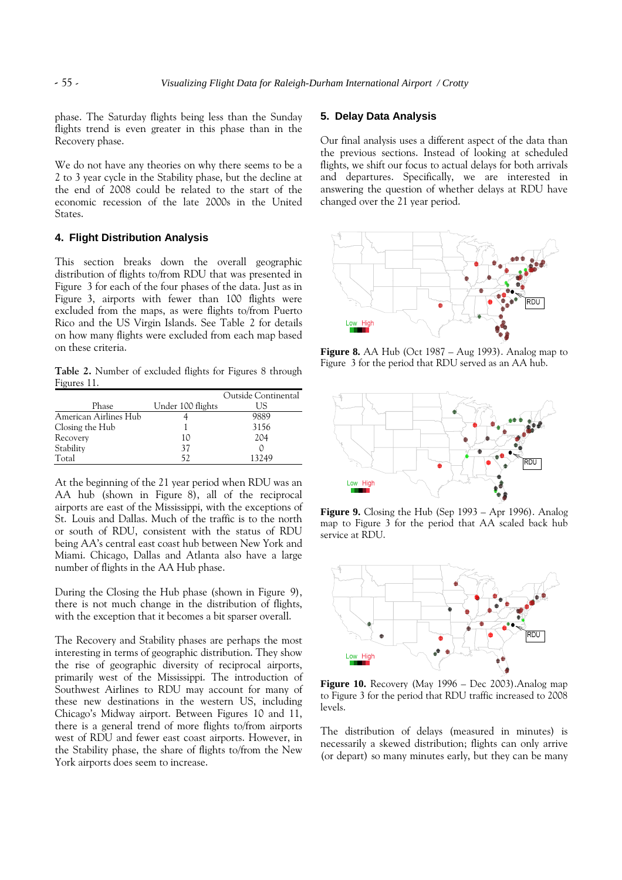phase. The Saturday flights being less than the Sunday flights trend is even greater in this phase than in the Recovery phase.

We do not have any theories on why there seems to be a 2 to 3 year cycle in the Stability phase, but the decline at the end of 2008 could be related to the start of the economic recession of the late 2000s in the United States.

# **4. Flight Distribution Analysis**

This section breaks down the overall geographic distribution of flights to/from RDU that was presented in Figure 3 for each of the four phases of the data. Just as in Figure 3, airports with fewer than 100 flights were excluded from the maps, as were flights to/from Puerto Rico and the US Virgin Islands. See Table 2 for details on how many flights were excluded from each map based on these criteria.

**Table 2.** Number of excluded flights for Figures 8 through Figures 11.

|                       |                   | Outside Continental |
|-----------------------|-------------------|---------------------|
| Phase                 | Under 100 flights | US.                 |
| American Airlines Hub |                   | 9889                |
| Closing the Hub       |                   | 3156                |
| Recovery              | 10                | 204                 |
| Stability             | 37                |                     |
| Total                 | 52                | 13249               |

At the beginning of the 21 year period when RDU was an AA hub (shown in Figure 8), all of the reciprocal airports are east of the Mississippi, with the exceptions of St. Louis and Dallas. Much of the traffic is to the north or south of RDU, consistent with the status of RDU being AA's central east coast hub between New York and Miami. Chicago, Dallas and Atlanta also have a large number of flights in the AA Hub phase.

During the Closing the Hub phase (shown in Figure 9), there is not much change in the distribution of flights, with the exception that it becomes a bit sparser overall.

The Recovery and Stability phases are perhaps the most interesting in terms of geographic distribution. They show the rise of geographic diversity of reciprocal airports, primarily west of the Mississippi. The introduction of Southwest Airlines to RDU may account for many of these new destinations in the western US, including Chicago's Midway airport. Between Figures 10 and 11, there is a general trend of more flights to/from airports west of RDU and fewer east coast airports. However, in the Stability phase, the share of flights to/from the New York airports does seem to increase.

#### **5. Delay Data Analysis**

Our final analysis uses a different aspect of the data than the previous sections. Instead of looking at scheduled flights, we shift our focus to actual delays for both arrivals and departures. Specifically, we are interested in answering the question of whether delays at RDU have changed over the 21 year period.



**Figure 8.** AA Hub (Oct 1987 – Aug 1993). Analog map to Figure 3 for the period that RDU served as an AA hub.



**Figure 9.** Closing the Hub (Sep 1993 – Apr 1996). Analog map to Figure 3 for the period that AA scaled back hub service at RDU.



**Figure 10.** Recovery (May 1996 – Dec 2003).Analog map to Figure 3 for the period that RDU traffic increased to 2008 levels.

The distribution of delays (measured in minutes) is necessarily a skewed distribution; flights can only arrive (or depart) so many minutes early, but they can be many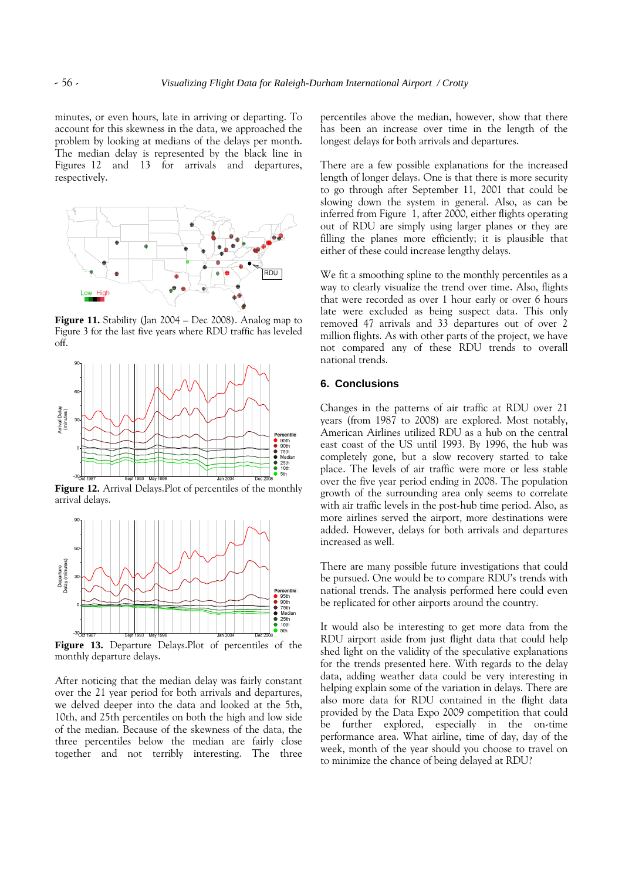minutes, or even hours, late in arriving or departing. To account for this skewness in the data, we approached the problem by looking at medians of the delays per month. The median delay is represented by the black line in Figures 12 and 13 for arrivals and departures, respectively.



**Figure 11.** Stability (Jan 2004 – Dec 2008). Analog map to Figure 3 for the last five years where RDU traffic has leveled off.



**Figure 12.** Arrival Delays.Plot of percentiles of the monthly arrival delays.



**Figure 13.** Departure Delays.Plot of percentiles of the monthly departure delays.

After noticing that the median delay was fairly constant over the 21 year period for both arrivals and departures, we delved deeper into the data and looked at the 5th, 10th, and 25th percentiles on both the high and low side of the median. Because of the skewness of the data, the three percentiles below the median are fairly close together and not terribly interesting. The three

percentiles above the median, however, show that there has been an increase over time in the length of the longest delays for both arrivals and departures.

There are a few possible explanations for the increased length of longer delays. One is that there is more security to go through after September 11, 2001 that could be slowing down the system in general. Also, as can be inferred from Figure 1, after 2000, either flights operating out of RDU are simply using larger planes or they are filling the planes more efficiently; it is plausible that either of these could increase lengthy delays.

We fit a smoothing spline to the monthly percentiles as a way to clearly visualize the trend over time. Also, flights that were recorded as over 1 hour early or over 6 hours late were excluded as being suspect data. This only removed 47 arrivals and 33 departures out of over 2 million flights. As with other parts of the project, we have not compared any of these RDU trends to overall national trends.

# **6. Conclusions**

Changes in the patterns of air traffic at RDU over 21 years (from 1987 to 2008) are explored. Most notably, American Airlines utilized RDU as a hub on the central east coast of the US until 1993. By 1996, the hub was completely gone, but a slow recovery started to take place. The levels of air traffic were more or less stable over the five year period ending in 2008. The population growth of the surrounding area only seems to correlate with air traffic levels in the post-hub time period. Also, as more airlines served the airport, more destinations were added. However, delays for both arrivals and departures increased as well.

There are many possible future investigations that could be pursued. One would be to compare RDU's trends with national trends. The analysis performed here could even be replicated for other airports around the country.

It would also be interesting to get more data from the RDU airport aside from just flight data that could help shed light on the validity of the speculative explanations for the trends presented here. With regards to the delay data, adding weather data could be very interesting in helping explain some of the variation in delays. There are also more data for RDU contained in the flight data provided by the Data Expo 2009 competition that could be further explored, especially in the on-time performance area. What airline, time of day, day of the week, month of the year should you choose to travel on to minimize the chance of being delayed at RDU?